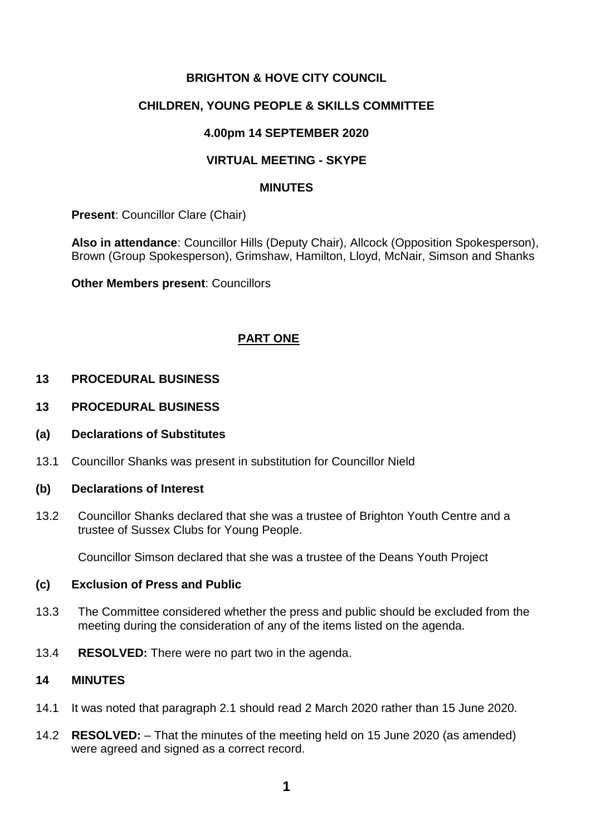## **BRIGHTON & HOVE CITY COUNCIL**

## **CHILDREN, YOUNG PEOPLE & SKILLS COMMITTEE**

#### **4.00pm 14 SEPTEMBER 2020**

## **VIRTUAL MEETING - SKYPE**

#### **MINUTES**

**Present**: Councillor Clare (Chair)

**Also in attendance**: Councillor Hills (Deputy Chair), Allcock (Opposition Spokesperson), Brown (Group Spokesperson), Grimshaw, Hamilton, Lloyd, McNair, Simson and Shanks

**Other Members present**: Councillors

## **PART ONE**

#### **13 PROCEDURAL BUSINESS**

- **13 PROCEDURAL BUSINESS**
- **(a) Declarations of Substitutes**
- 13.1 Councillor Shanks was present in substitution for Councillor Nield

#### **(b) Declarations of Interest**

13.2 Councillor Shanks declared that she was a trustee of Brighton Youth Centre and a trustee of Sussex Clubs for Young People.

Councillor Simson declared that she was a trustee of the Deans Youth Project

#### **(c) Exclusion of Press and Public**

- 13.3 The Committee considered whether the press and public should be excluded from the meeting during the consideration of any of the items listed on the agenda.
- 13.4 **RESOLVED:** There were no part two in the agenda.

## **14 MINUTES**

- 14.1 It was noted that paragraph 2.1 should read 2 March 2020 rather than 15 June 2020.
- 14.2 **RESOLVED:** That the minutes of the meeting held on 15 June 2020 (as amended) were agreed and signed as a correct record.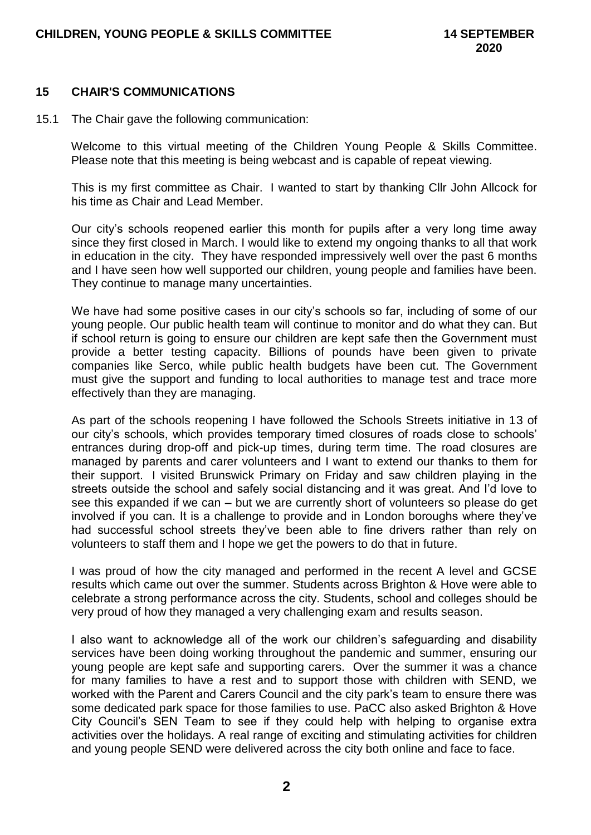#### **15 CHAIR'S COMMUNICATIONS**

15.1 The Chair gave the following communication:

Welcome to this virtual meeting of the Children Young People & Skills Committee. Please note that this meeting is being webcast and is capable of repeat viewing.

This is my first committee as Chair. I wanted to start by thanking Cllr John Allcock for his time as Chair and Lead Member.

Our city's schools reopened earlier this month for pupils after a very long time away since they first closed in March. I would like to extend my ongoing thanks to all that work in education in the city. They have responded impressively well over the past 6 months and I have seen how well supported our children, young people and families have been. They continue to manage many uncertainties.

We have had some positive cases in our city's schools so far, including of some of our young people. Our public health team will continue to monitor and do what they can. But if school return is going to ensure our children are kept safe then the Government must provide a better testing capacity. Billions of pounds have been given to private companies like Serco, while public health budgets have been cut. The Government must give the support and funding to local authorities to manage test and trace more effectively than they are managing.

As part of the schools reopening I have followed the Schools Streets initiative in 13 of our city's schools, which provides temporary timed closures of roads close to schools' entrances during drop-off and pick-up times, during term time. The road closures are managed by parents and carer volunteers and I want to extend our thanks to them for their support. I visited Brunswick Primary on Friday and saw children playing in the streets outside the school and safely social distancing and it was great. And I'd love to see this expanded if we can – but we are currently short of volunteers so please do get involved if you can. It is a challenge to provide and in London boroughs where they've had successful school streets they've been able to fine drivers rather than rely on volunteers to staff them and I hope we get the powers to do that in future.

I was proud of how the city managed and performed in the recent A level and GCSE results which came out over the summer. Students across Brighton & Hove were able to celebrate a strong performance across the city. Students, school and colleges should be very proud of how they managed a very challenging exam and results season.

I also want to acknowledge all of the work our children's safeguarding and disability services have been doing working throughout the pandemic and summer, ensuring our young people are kept safe and supporting carers. Over the summer it was a chance for many families to have a rest and to support those with children with SEND, we worked with the Parent and Carers Council and the city park's team to ensure there was some dedicated park space for those families to use. PaCC also asked Brighton & Hove City Council's SEN Team to see if they could help with helping to organise extra activities over the holidays. A real range of exciting and stimulating activities for children and young people SEND were delivered across the city both online and face to face.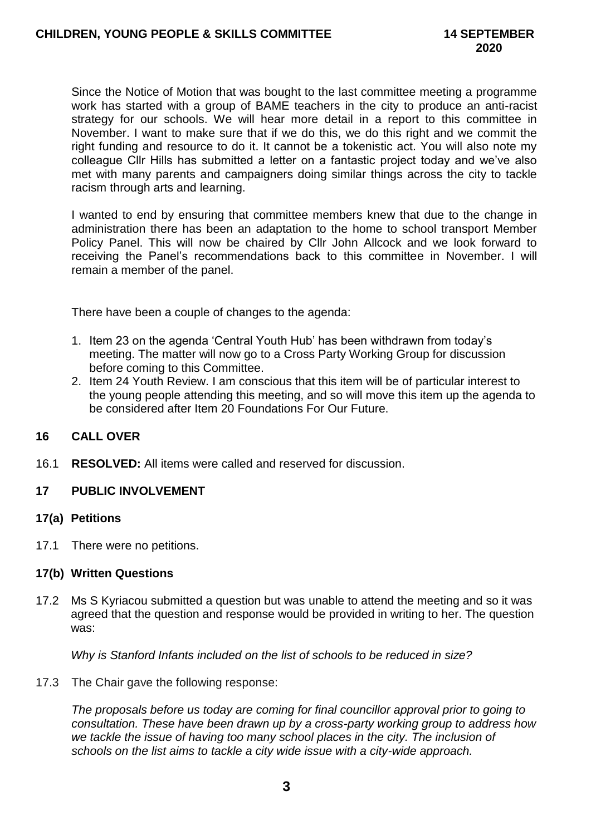Since the Notice of Motion that was bought to the last committee meeting a programme work has started with a group of BAME teachers in the city to produce an anti-racist strategy for our schools. We will hear more detail in a report to this committee in November. I want to make sure that if we do this, we do this right and we commit the right funding and resource to do it. It cannot be a tokenistic act. You will also note my colleague Cllr Hills has submitted a letter on a fantastic project today and we've also met with many parents and campaigners doing similar things across the city to tackle racism through arts and learning.

I wanted to end by ensuring that committee members knew that due to the change in administration there has been an adaptation to the home to school transport Member Policy Panel. This will now be chaired by Cllr John Allcock and we look forward to receiving the Panel's recommendations back to this committee in November. I will remain a member of the panel.

There have been a couple of changes to the agenda:

- 1. Item 23 on the agenda 'Central Youth Hub' has been withdrawn from today's meeting. The matter will now go to a Cross Party Working Group for discussion before coming to this Committee.
- 2. Item 24 Youth Review. I am conscious that this item will be of particular interest to the young people attending this meeting, and so will move this item up the agenda to be considered after Item 20 Foundations For Our Future.

## **16 CALL OVER**

16.1 **RESOLVED:** All items were called and reserved for discussion.

#### **17 PUBLIC INVOLVEMENT**

#### **17(a) Petitions**

17.1 There were no petitions.

#### **17(b) Written Questions**

17.2 Ms S Kyriacou submitted a question but was unable to attend the meeting and so it was agreed that the question and response would be provided in writing to her. The question was:

*Why is Stanford Infants included on the list of schools to be reduced in size?*

17.3 The Chair gave the following response:

*The proposals before us today are coming for final councillor approval prior to going to consultation. These have been drawn up by a cross-party working group to address how*  we tackle the issue of having too many school places in the city. The inclusion of *schools on the list aims to tackle a city wide issue with a city-wide approach.*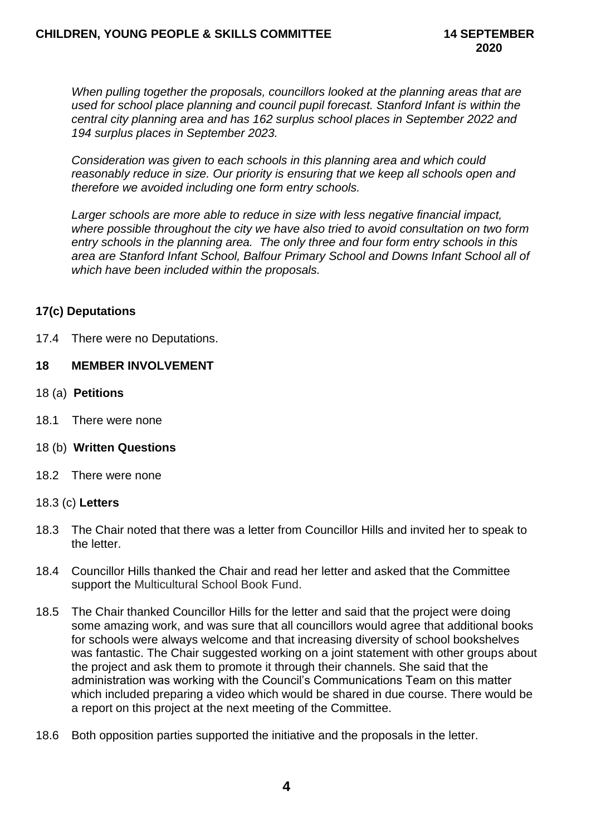*When pulling together the proposals, councillors looked at the planning areas that are used for school place planning and council pupil forecast. Stanford Infant is within the central city planning area and has 162 surplus school places in September 2022 and 194 surplus places in September 2023.*

*Consideration was given to each schools in this planning area and which could reasonably reduce in size. Our priority is ensuring that we keep all schools open and therefore we avoided including one form entry schools.* 

*Larger schools are more able to reduce in size with less negative financial impact, where possible throughout the city we have also tried to avoid consultation on two form entry schools in the planning area. The only three and four form entry schools in this area are Stanford Infant School, Balfour Primary School and Downs Infant School all of which have been included within the proposals.*

## **17(c) Deputations**

17.4 There were no Deputations.

#### **18 MEMBER INVOLVEMENT**

- 18 (a) **Petitions**
- 18.1 There were none
- 18 (b) **Written Questions**
- 18.2 There were none

#### 18.3 (c) **Letters**

- 18.3 The Chair noted that there was a letter from Councillor Hills and invited her to speak to the letter.
- 18.4 Councillor Hills thanked the Chair and read her letter and asked that the Committee support the Multicultural School Book Fund.
- 18.5 The Chair thanked Councillor Hills for the letter and said that the project were doing some amazing work, and was sure that all councillors would agree that additional books for schools were always welcome and that increasing diversity of school bookshelves was fantastic. The Chair suggested working on a joint statement with other groups about the project and ask them to promote it through their channels. She said that the administration was working with the Council's Communications Team on this matter which included preparing a video which would be shared in due course. There would be a report on this project at the next meeting of the Committee.
- 18.6 Both opposition parties supported the initiative and the proposals in the letter.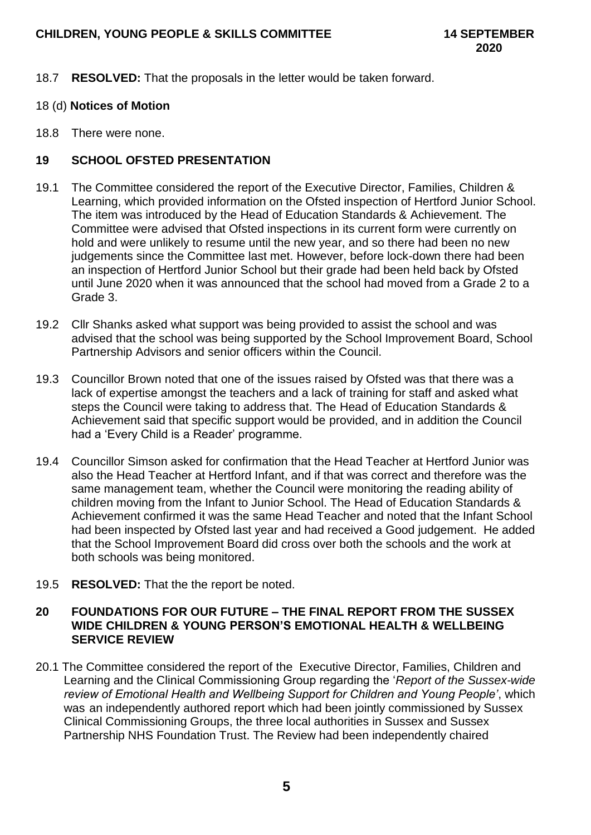- 18.7 **RESOLVED:** That the proposals in the letter would be taken forward.
- 18 (d) **Notices of Motion**
- 18.8 There were none.

# **19 SCHOOL OFSTED PRESENTATION**

- 19.1 The Committee considered the report of the Executive Director, Families, Children & Learning, which provided information on the Ofsted inspection of Hertford Junior School. The item was introduced by the Head of Education Standards & Achievement. The Committee were advised that Ofsted inspections in its current form were currently on hold and were unlikely to resume until the new year, and so there had been no new judgements since the Committee last met. However, before lock-down there had been an inspection of Hertford Junior School but their grade had been held back by Ofsted until June 2020 when it was announced that the school had moved from a Grade 2 to a Grade 3.
- 19.2 Cllr Shanks asked what support was being provided to assist the school and was advised that the school was being supported by the School Improvement Board, School Partnership Advisors and senior officers within the Council.
- 19.3 Councillor Brown noted that one of the issues raised by Ofsted was that there was a lack of expertise amongst the teachers and a lack of training for staff and asked what steps the Council were taking to address that. The Head of Education Standards & Achievement said that specific support would be provided, and in addition the Council had a 'Every Child is a Reader' programme.
- 19.4 Councillor Simson asked for confirmation that the Head Teacher at Hertford Junior was also the Head Teacher at Hertford Infant, and if that was correct and therefore was the same management team, whether the Council were monitoring the reading ability of children moving from the Infant to Junior School. The Head of Education Standards & Achievement confirmed it was the same Head Teacher and noted that the Infant School had been inspected by Ofsted last year and had received a Good judgement. He added that the School Improvement Board did cross over both the schools and the work at both schools was being monitored.
- 19.5 **RESOLVED:** That the the report be noted.

#### **20 FOUNDATIONS FOR OUR FUTURE – THE FINAL REPORT FROM THE SUSSEX WIDE CHILDREN & YOUNG PERSON'S EMOTIONAL HEALTH & WELLBEING SERVICE REVIEW**

20.1 The Committee considered the report of the Executive Director, Families, Children and Learning and the Clinical Commissioning Group regarding the '*Report of the Sussex-wide review of Emotional Health and Wellbeing Support for Children and Young People'*, which was an independently authored report which had been jointly commissioned by Sussex Clinical Commissioning Groups, the three local authorities in Sussex and Sussex Partnership NHS Foundation Trust. The Review had been independently chaired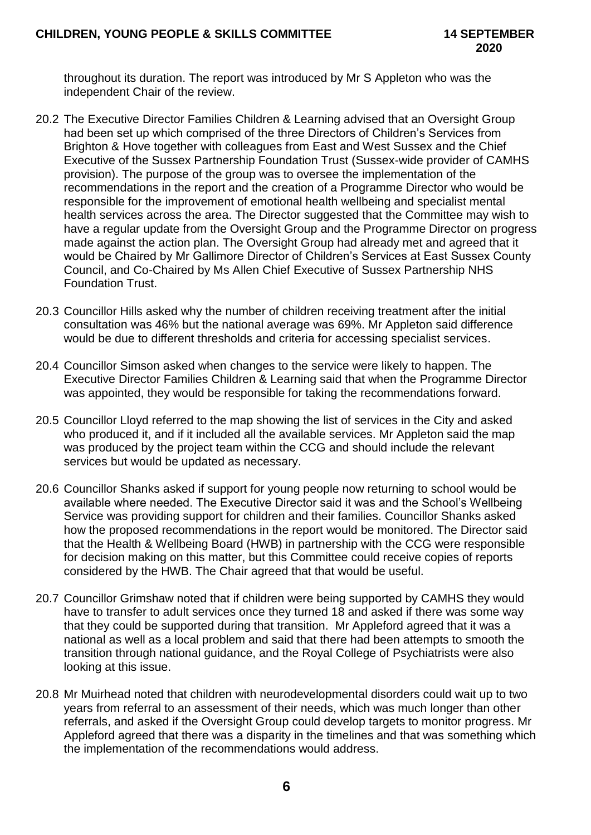throughout its duration. The report was introduced by Mr S Appleton who was the independent Chair of the review.

- 20.2 The Executive Director Families Children & Learning advised that an Oversight Group had been set up which comprised of the three Directors of Children's Services from Brighton & Hove together with colleagues from East and West Sussex and the Chief Executive of the Sussex Partnership Foundation Trust (Sussex-wide provider of CAMHS provision). The purpose of the group was to oversee the implementation of the recommendations in the report and the creation of a Programme Director who would be responsible for the improvement of emotional health wellbeing and specialist mental health services across the area. The Director suggested that the Committee may wish to have a regular update from the Oversight Group and the Programme Director on progress made against the action plan. The Oversight Group had already met and agreed that it would be Chaired by Mr Gallimore Director of Children's Services at East Sussex County Council, and Co-Chaired by Ms Allen Chief Executive of Sussex Partnership NHS Foundation Trust.
- 20.3 Councillor Hills asked why the number of children receiving treatment after the initial consultation was 46% but the national average was 69%. Mr Appleton said difference would be due to different thresholds and criteria for accessing specialist services.
- 20.4 Councillor Simson asked when changes to the service were likely to happen. The Executive Director Families Children & Learning said that when the Programme Director was appointed, they would be responsible for taking the recommendations forward.
- 20.5 Councillor Lloyd referred to the map showing the list of services in the City and asked who produced it, and if it included all the available services. Mr Appleton said the map was produced by the project team within the CCG and should include the relevant services but would be updated as necessary.
- 20.6 Councillor Shanks asked if support for young people now returning to school would be available where needed. The Executive Director said it was and the School's Wellbeing Service was providing support for children and their families. Councillor Shanks asked how the proposed recommendations in the report would be monitored. The Director said that the Health & Wellbeing Board (HWB) in partnership with the CCG were responsible for decision making on this matter, but this Committee could receive copies of reports considered by the HWB. The Chair agreed that that would be useful.
- 20.7 Councillor Grimshaw noted that if children were being supported by CAMHS they would have to transfer to adult services once they turned 18 and asked if there was some way that they could be supported during that transition. Mr Appleford agreed that it was a national as well as a local problem and said that there had been attempts to smooth the transition through national guidance, and the Royal College of Psychiatrists were also looking at this issue.
- 20.8 Mr Muirhead noted that children with neurodevelopmental disorders could wait up to two years from referral to an assessment of their needs, which was much longer than other referrals, and asked if the Oversight Group could develop targets to monitor progress. Mr Appleford agreed that there was a disparity in the timelines and that was something which the implementation of the recommendations would address.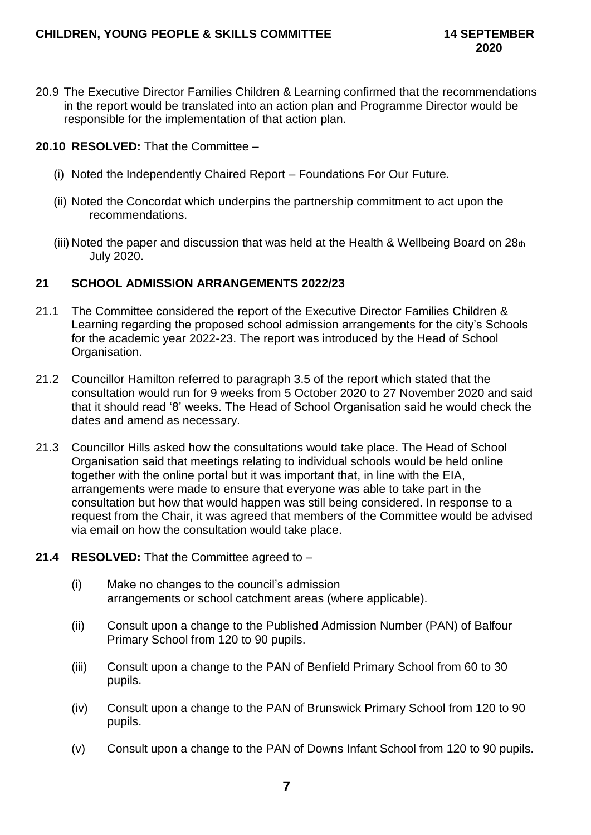- 20.9 The Executive Director Families Children & Learning confirmed that the recommendations in the report would be translated into an action plan and Programme Director would be responsible for the implementation of that action plan.
- **20.10 RESOLVED:** That the Committee
	- (i) Noted the Independently Chaired Report Foundations For Our Future.
	- (ii) Noted the Concordat which underpins the partnership commitment to act upon the recommendations.
	- (iii) Noted the paper and discussion that was held at the Health & Wellbeing Board on 28th July 2020.

## **21 SCHOOL ADMISSION ARRANGEMENTS 2022/23**

- 21.1 The Committee considered the report of the Executive Director Families Children & Learning regarding the proposed school admission arrangements for the city's Schools for the academic year 2022-23. The report was introduced by the Head of School Organisation.
- 21.2 Councillor Hamilton referred to paragraph 3.5 of the report which stated that the consultation would run for 9 weeks from 5 October 2020 to 27 November 2020 and said that it should read '8' weeks. The Head of School Organisation said he would check the dates and amend as necessary.
- 21.3 Councillor Hills asked how the consultations would take place. The Head of School Organisation said that meetings relating to individual schools would be held online together with the online portal but it was important that, in line with the EIA, arrangements were made to ensure that everyone was able to take part in the consultation but how that would happen was still being considered. In response to a request from the Chair, it was agreed that members of the Committee would be advised via email on how the consultation would take place.
- **21.4 RESOLVED:** That the Committee agreed to
	- (i) Make no changes to the council's admission arrangements or school catchment areas (where applicable).
	- (ii) Consult upon a change to the Published Admission Number (PAN) of Balfour Primary School from 120 to 90 pupils.
	- (iii) Consult upon a change to the PAN of Benfield Primary School from 60 to 30 pupils.
	- (iv) Consult upon a change to the PAN of Brunswick Primary School from 120 to 90 pupils.
	- (v) Consult upon a change to the PAN of Downs Infant School from 120 to 90 pupils.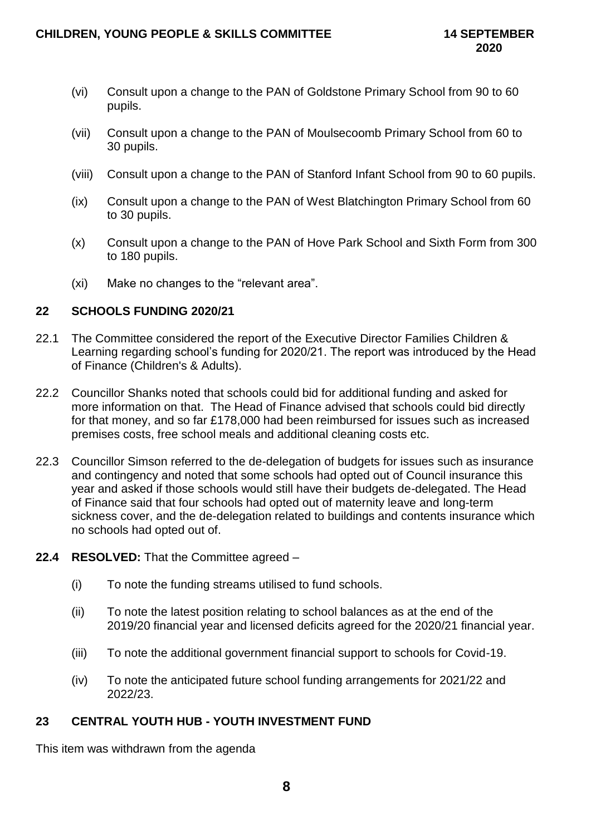- (vi) Consult upon a change to the PAN of Goldstone Primary School from 90 to 60 pupils.
- (vii) Consult upon a change to the PAN of Moulsecoomb Primary School from 60 to 30 pupils.
- (viii) Consult upon a change to the PAN of Stanford Infant School from 90 to 60 pupils.
- (ix) Consult upon a change to the PAN of West Blatchington Primary School from 60 to 30 pupils.
- (x) Consult upon a change to the PAN of Hove Park School and Sixth Form from 300 to 180 pupils.
- (xi) Make no changes to the "relevant area".

## **22 SCHOOLS FUNDING 2020/21**

- 22.1 The Committee considered the report of the Executive Director Families Children & Learning regarding school's funding for 2020/21. The report was introduced by the Head of Finance (Children's & Adults).
- 22.2 Councillor Shanks noted that schools could bid for additional funding and asked for more information on that. The Head of Finance advised that schools could bid directly for that money, and so far £178,000 had been reimbursed for issues such as increased premises costs, free school meals and additional cleaning costs etc.
- 22.3 Councillor Simson referred to the de-delegation of budgets for issues such as insurance and contingency and noted that some schools had opted out of Council insurance this year and asked if those schools would still have their budgets de-delegated. The Head of Finance said that four schools had opted out of maternity leave and long-term sickness cover, and the de-delegation related to buildings and contents insurance which no schools had opted out of.
- **22.4 RESOLVED:** That the Committee agreed
	- (i) To note the funding streams utilised to fund schools.
	- (ii) To note the latest position relating to school balances as at the end of the 2019/20 financial year and licensed deficits agreed for the 2020/21 financial year.
	- (iii) To note the additional government financial support to schools for Covid-19.
	- (iv) To note the anticipated future school funding arrangements for 2021/22 and 2022/23.

# **23 CENTRAL YOUTH HUB - YOUTH INVESTMENT FUND**

This item was withdrawn from the agenda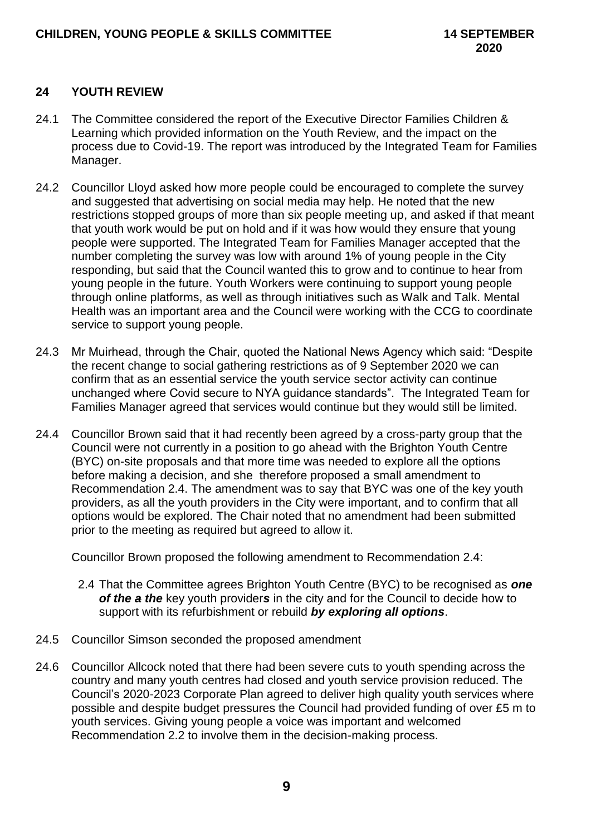# **24 YOUTH REVIEW**

- 24.1 The Committee considered the report of the Executive Director Families Children & Learning which provided information on the Youth Review, and the impact on the process due to Covid-19. The report was introduced by the Integrated Team for Families Manager.
- 24.2 Councillor Lloyd asked how more people could be encouraged to complete the survey and suggested that advertising on social media may help. He noted that the new restrictions stopped groups of more than six people meeting up, and asked if that meant that youth work would be put on hold and if it was how would they ensure that young people were supported. The Integrated Team for Families Manager accepted that the number completing the survey was low with around 1% of young people in the City responding, but said that the Council wanted this to grow and to continue to hear from young people in the future. Youth Workers were continuing to support young people through online platforms, as well as through initiatives such as Walk and Talk. Mental Health was an important area and the Council were working with the CCG to coordinate service to support young people.
- 24.3 Mr Muirhead, through the Chair, quoted the National News Agency which said: "Despite the recent change to social gathering restrictions as of 9 September 2020 we can confirm that as an essential service the youth service sector activity can continue unchanged where Covid secure to NYA guidance standards". The Integrated Team for Families Manager agreed that services would continue but they would still be limited.
- 24.4 Councillor Brown said that it had recently been agreed by a cross-party group that the Council were not currently in a position to go ahead with the Brighton Youth Centre (BYC) on-site proposals and that more time was needed to explore all the options before making a decision, and she therefore proposed a small amendment to Recommendation 2.4. The amendment was to say that BYC was one of the key youth providers, as all the youth providers in the City were important, and to confirm that all options would be explored. The Chair noted that no amendment had been submitted prior to the meeting as required but agreed to allow it.

Councillor Brown proposed the following amendment to Recommendation 2.4:

- 2.4 That the Committee agrees Brighton Youth Centre (BYC) to be recognised as *one of the a the* key youth provider*s* in the city and for the Council to decide how to support with its refurbishment or rebuild *by exploring all options*.
- 24.5 Councillor Simson seconded the proposed amendment
- 24.6 Councillor Allcock noted that there had been severe cuts to youth spending across the country and many youth centres had closed and youth service provision reduced. The Council's 2020-2023 Corporate Plan agreed to deliver high quality youth services where possible and despite budget pressures the Council had provided funding of over £5 m to youth services. Giving young people a voice was important and welcomed Recommendation 2.2 to involve them in the decision-making process.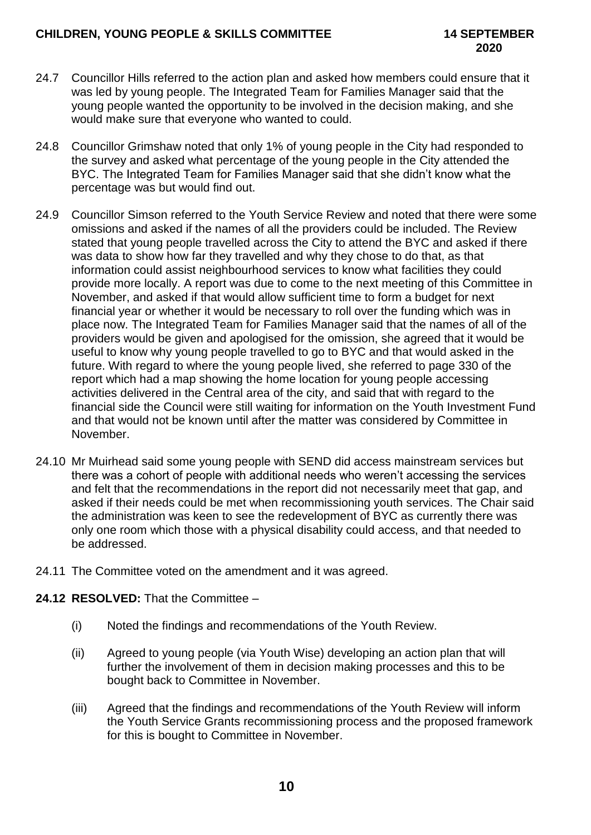- 24.7 Councillor Hills referred to the action plan and asked how members could ensure that it was led by young people. The Integrated Team for Families Manager said that the young people wanted the opportunity to be involved in the decision making, and she would make sure that everyone who wanted to could.
- 24.8 Councillor Grimshaw noted that only 1% of young people in the City had responded to the survey and asked what percentage of the young people in the City attended the BYC. The Integrated Team for Families Manager said that she didn't know what the percentage was but would find out.
- 24.9 Councillor Simson referred to the Youth Service Review and noted that there were some omissions and asked if the names of all the providers could be included. The Review stated that young people travelled across the City to attend the BYC and asked if there was data to show how far they travelled and why they chose to do that, as that information could assist neighbourhood services to know what facilities they could provide more locally. A report was due to come to the next meeting of this Committee in November, and asked if that would allow sufficient time to form a budget for next financial year or whether it would be necessary to roll over the funding which was in place now. The Integrated Team for Families Manager said that the names of all of the providers would be given and apologised for the omission, she agreed that it would be useful to know why young people travelled to go to BYC and that would asked in the future. With regard to where the young people lived, she referred to page 330 of the report which had a map showing the home location for young people accessing activities delivered in the Central area of the city, and said that with regard to the financial side the Council were still waiting for information on the Youth Investment Fund and that would not be known until after the matter was considered by Committee in November.
- 24.10 Mr Muirhead said some young people with SEND did access mainstream services but there was a cohort of people with additional needs who weren't accessing the services and felt that the recommendations in the report did not necessarily meet that gap, and asked if their needs could be met when recommissioning youth services. The Chair said the administration was keen to see the redevelopment of BYC as currently there was only one room which those with a physical disability could access, and that needed to be addressed.
- 24.11 The Committee voted on the amendment and it was agreed.

# **24.12 RESOLVED:** That the Committee –

- (i) Noted the findings and recommendations of the Youth Review.
- (ii) Agreed to young people (via Youth Wise) developing an action plan that will further the involvement of them in decision making processes and this to be bought back to Committee in November.
- (iii) Agreed that the findings and recommendations of the Youth Review will inform the Youth Service Grants recommissioning process and the proposed framework for this is bought to Committee in November.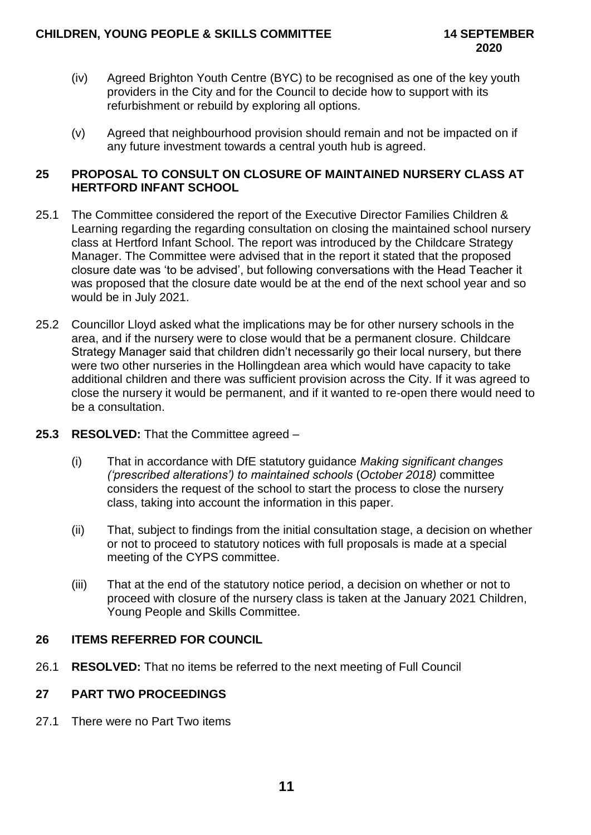- (iv) Agreed Brighton Youth Centre (BYC) to be recognised as one of the key youth providers in the City and for the Council to decide how to support with its refurbishment or rebuild by exploring all options.
- (v) Agreed that neighbourhood provision should remain and not be impacted on if any future investment towards a central youth hub is agreed.

## **25 PROPOSAL TO CONSULT ON CLOSURE OF MAINTAINED NURSERY CLASS AT HERTFORD INFANT SCHOOL**

- 25.1 The Committee considered the report of the Executive Director Families Children & Learning regarding the regarding consultation on closing the maintained school nursery class at Hertford Infant School. The report was introduced by the Childcare Strategy Manager. The Committee were advised that in the report it stated that the proposed closure date was 'to be advised', but following conversations with the Head Teacher it was proposed that the closure date would be at the end of the next school year and so would be in July 2021.
- 25.2 Councillor Lloyd asked what the implications may be for other nursery schools in the area, and if the nursery were to close would that be a permanent closure. Childcare Strategy Manager said that children didn't necessarily go their local nursery, but there were two other nurseries in the Hollingdean area which would have capacity to take additional children and there was sufficient provision across the City. If it was agreed to close the nursery it would be permanent, and if it wanted to re-open there would need to be a consultation.
- **25.3 RESOLVED:** That the Committee agreed
	- (i) That in accordance with DfE statutory guidance *Making significant changes ('prescribed alterations') to maintained schools* (*October 2018)* committee considers the request of the school to start the process to close the nursery class, taking into account the information in this paper.
	- (ii) That, subject to findings from the initial consultation stage, a decision on whether or not to proceed to statutory notices with full proposals is made at a special meeting of the CYPS committee.
	- (iii) That at the end of the statutory notice period, a decision on whether or not to proceed with closure of the nursery class is taken at the January 2021 Children, Young People and Skills Committee.

# **26 ITEMS REFERRED FOR COUNCIL**

26.1 **RESOLVED:** That no items be referred to the next meeting of Full Council

# **27 PART TWO PROCEEDINGS**

27.1 There were no Part Two items